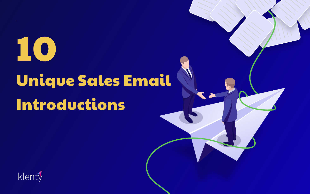# Unique Sales Email Introductions







10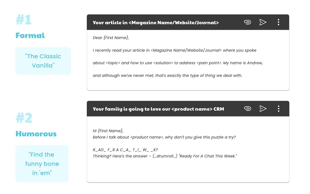

# #2 Humorous

### "The Classic Vanilla"

Dear {First Name},  $\overline{a}$ 

"Find the funny bone in 'em"





I recently read your article in <Magazine Name/Website/Journal> where you spoke

Hi {First Name}, Before I talk about <product name>, why don't you give this puzzle a try?

about <topic> and how to use <solution> to address <pain point>. My name is Andrew,

and although we've never met, that's exactly the type of thing we deal with.

R\_AD\_ F\_R A C\_A\_ T\_I\_ W\_\_\_ K? Thinking? Here's the answer – (…drumroll…) "Ready For A Chat This Week."

#### Your article in <Magazine Name/Website/Journal>

### Your family is going to love our <product name> CRM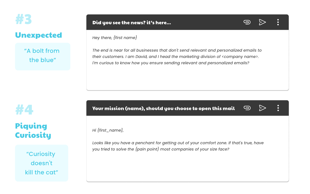

#4

### Unexpected

Piquing Curiosity

### "A bolt from the blue"

"Curiosity doesn't kill the cat" Hey there, {first name}

The end is near for all businesses that don't send relevant and personalized emails to their customers. I am David, and I head the marketing division of <company name>. I'm curious to know how you ensure sending relevant and personalized emails?

#### Your mission (name), should you choose to open this mail

Hi {first\_name},  $\overline{a}$ 

Looks like you have a penchant for getting out of your comfort zone. If that's true, have you tried to solve the {pain point} most companies of your size face?



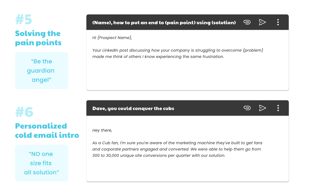#6

### Personalized cold email intro

Hi {Prospect Name},  $\overline{a}$ 

"NO one size fits all solution"

Your LinkedIn post discussing how your company is struggling to overcome {problem} made me think of others I know experiencing the same frustration.

#### {Name}, how to put an end to {pain point} using {solution}



#### Dave, you could conquer the cubs

 $\overline{a}$ 



 $\bullet$ 



Hey there,

As a Cub fan, I'm sure you're aware of the marketing machine they've built to get fans and corporate partners engaged and converted. We were able to help them go from 300 to 30,000 unique site conversions per quarter with our solution.

"Be the guardian angel"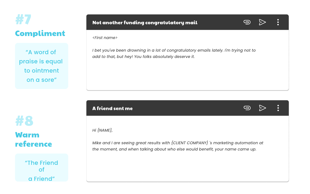

### #8 Warm reference

"The Friend of a Friend"

<First name>

I bet you've been drowning in a lot of congratulatory emails lately. I'm trying not to add to that, but hey! You folks absolutely deserve it.

"A word of praise is equal to ointment on a sore"

#### Not another funding congratulatory mail

#### A friend sent me

Hi {NAME},

Mike and I are seeing great results with {CLIENT COMPANY} 's marketing automation at the moment, and when talking about who else would benefit, your name came up.

#### $\overline{a}$



### Compliment